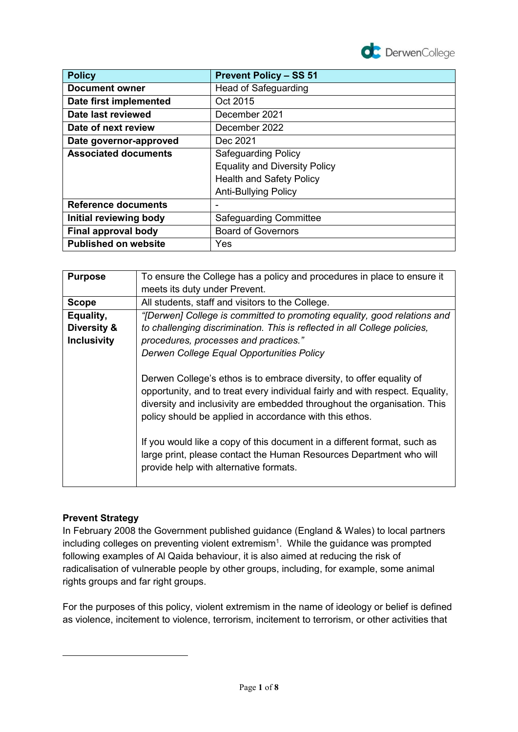

| <b>Policy</b>               | <b>Prevent Policy - SS 51</b>        |  |  |
|-----------------------------|--------------------------------------|--|--|
| <b>Document owner</b>       | <b>Head of Safeguarding</b>          |  |  |
| Date first implemented      | Oct 2015                             |  |  |
| Date last reviewed          | December 2021                        |  |  |
| Date of next review         | December 2022                        |  |  |
| Date governor-approved      | Dec 2021                             |  |  |
| <b>Associated documents</b> | <b>Safeguarding Policy</b>           |  |  |
|                             | <b>Equality and Diversity Policy</b> |  |  |
|                             | <b>Health and Safety Policy</b>      |  |  |
|                             | <b>Anti-Bullying Policy</b>          |  |  |
| <b>Reference documents</b>  |                                      |  |  |
| Initial reviewing body      | <b>Safeguarding Committee</b>        |  |  |
| Final approval body         | <b>Board of Governors</b>            |  |  |
| <b>Published on website</b> | Yes                                  |  |  |

| <b>Purpose</b>     | To ensure the College has a policy and procedures in place to ensure it                                                                                                                                                                                                                                                                                                                                                                                                                   |  |  |
|--------------------|-------------------------------------------------------------------------------------------------------------------------------------------------------------------------------------------------------------------------------------------------------------------------------------------------------------------------------------------------------------------------------------------------------------------------------------------------------------------------------------------|--|--|
|                    | meets its duty under Prevent.                                                                                                                                                                                                                                                                                                                                                                                                                                                             |  |  |
| <b>Scope</b>       | All students, staff and visitors to the College.                                                                                                                                                                                                                                                                                                                                                                                                                                          |  |  |
| Equality,          | "[Derwen] College is committed to promoting equality, good relations and                                                                                                                                                                                                                                                                                                                                                                                                                  |  |  |
| Diversity &        | to challenging discrimination. This is reflected in all College policies,                                                                                                                                                                                                                                                                                                                                                                                                                 |  |  |
| <b>Inclusivity</b> | procedures, processes and practices."                                                                                                                                                                                                                                                                                                                                                                                                                                                     |  |  |
|                    | Derwen College Equal Opportunities Policy                                                                                                                                                                                                                                                                                                                                                                                                                                                 |  |  |
|                    | Derwen College's ethos is to embrace diversity, to offer equality of<br>opportunity, and to treat every individual fairly and with respect. Equality,<br>diversity and inclusivity are embedded throughout the organisation. This<br>policy should be applied in accordance with this ethos.<br>If you would like a copy of this document in a different format, such as<br>large print, please contact the Human Resources Department who will<br>provide help with alternative formats. |  |  |

# **Prevent Strategy**

 $\overline{a}$ 

In February 2008 the Government published guidance (England & Wales) to local partners including colleges on preventing violent extremism $1$ . While the guidance was prompted following examples of Al Qaida behaviour, it is also aimed at reducing the risk of radicalisation of vulnerable people by other groups, including, for example, some animal rights groups and far right groups.

For the purposes of this policy, violent extremism in the name of ideology or belief is defined as violence, incitement to violence, terrorism, incitement to terrorism, or other activities that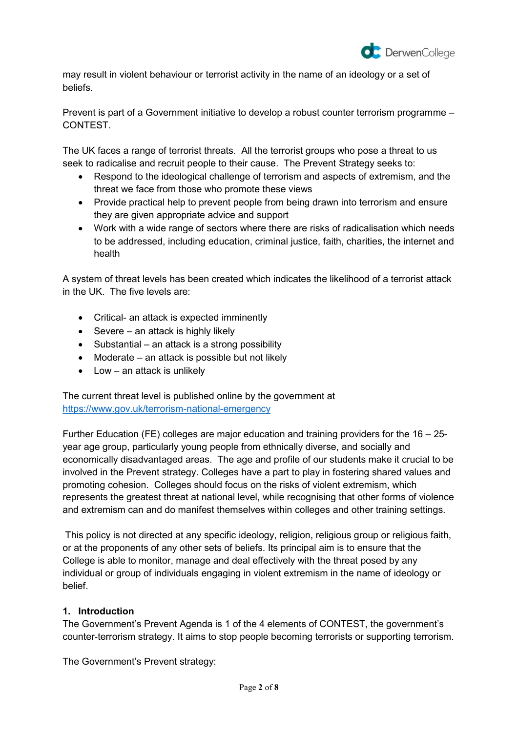

may result in violent behaviour or terrorist activity in the name of an ideology or a set of beliefs.

Prevent is part of a Government initiative to develop a robust counter terrorism programme – **CONTEST.** 

The UK faces a range of terrorist threats. All the terrorist groups who pose a threat to us seek to radicalise and recruit people to their cause. The Prevent Strategy seeks to:

- Respond to the ideological challenge of terrorism and aspects of extremism, and the threat we face from those who promote these views
- Provide practical help to prevent people from being drawn into terrorism and ensure they are given appropriate advice and support
- Work with a wide range of sectors where there are risks of radicalisation which needs to be addressed, including education, criminal justice, faith, charities, the internet and health

A system of threat levels has been created which indicates the likelihood of a terrorist attack in the UK. The five levels are:

- Critical- an attack is expected imminently
- Severe an attack is highly likely
- Substantial an attack is a strong possibility
- Moderate an attack is possible but not likely
- Low an attack is unlikely

The current threat level is published online by the government at <https://www.gov.uk/terrorism-national-emergency>

Further Education (FE) colleges are major education and training providers for the 16 – 25 year age group, particularly young people from ethnically diverse, and socially and economically disadvantaged areas. The age and profile of our students make it crucial to be involved in the Prevent strategy. Colleges have a part to play in fostering shared values and promoting cohesion. Colleges should focus on the risks of violent extremism, which represents the greatest threat at national level, while recognising that other forms of violence and extremism can and do manifest themselves within colleges and other training settings.

This policy is not directed at any specific ideology, religion, religious group or religious faith, or at the proponents of any other sets of beliefs. Its principal aim is to ensure that the College is able to monitor, manage and deal effectively with the threat posed by any individual or group of individuals engaging in violent extremism in the name of ideology or belief.

# **1. Introduction**

The Government's Prevent Agenda is 1 of the 4 elements of CONTEST, the government's counter-terrorism strategy. It aims to stop people becoming terrorists or supporting terrorism.

The Government's Prevent strategy: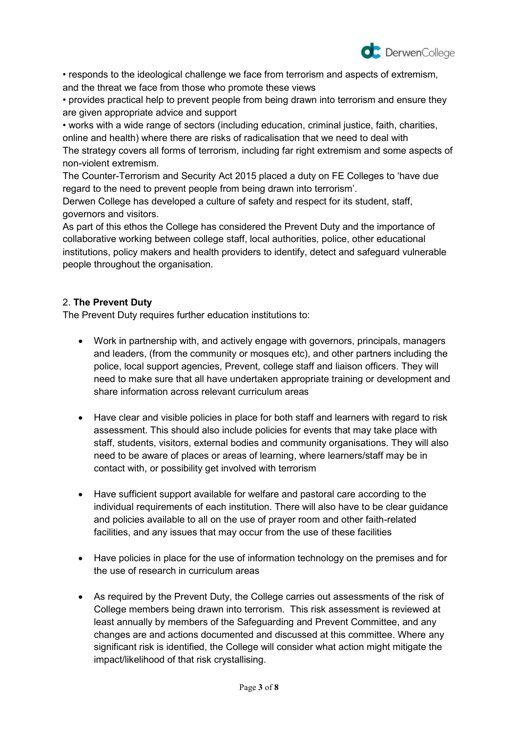

• responds to the ideological challenge we face from terrorism and aspects of extremism, and the threat we face from those who promote these views

• provides practical help to prevent people from being drawn into terrorism and ensure they are given appropriate advice and support

• works with a wide range of sectors (including education, criminal justice, faith, charities, online and health) where there are risks of radicalisation that we need to deal with The strategy covers all forms of terrorism, including far right extremism and some aspects of non-violent extremism.

The Counter-Terrorism and Security Act 2015 placed a duty on FE Colleges to 'have due regard to the need to prevent people from being drawn into terrorism'.

Derwen College has developed a culture of safety and respect for its student, staff, governors and visitors.

As part of this ethos the College has considered the Prevent Duty and the importance of collaborative working between college staff, local authorities, police, other educational institutions, policy makers and health providers to identify, detect and safeguard vulnerable people throughout the organisation.

## 2. **The Prevent Duty**

The Prevent Duty requires further education institutions to:

- Work in partnership with, and actively engage with governors, principals, managers and leaders, (from the community or mosques etc), and other partners including the police, local support agencies, Prevent, college staff and liaison officers. They will need to make sure that all have undertaken appropriate training or development and share information across relevant curriculum areas
- Have clear and visible policies in place for both staff and learners with regard to risk assessment. This should also include policies for events that may take place with staff, students, visitors, external bodies and community organisations. They will also need to be aware of places or areas of learning, where learners/staff may be in contact with, or possibility get involved with terrorism
- Have sufficient support available for welfare and pastoral care according to the individual requirements of each institution. There will also have to be clear guidance and policies available to all on the use of prayer room and other faith-related facilities, and any issues that may occur from the use of these facilities
- Have policies in place for the use of information technology on the premises and for the use of research in curriculum areas
- As required by the Prevent Duty, the College carries out assessments of the risk of College members being drawn into terrorism. This risk assessment is reviewed at least annually by members of the Safeguarding and Prevent Committee, and any changes are and actions documented and discussed at this committee. Where any significant risk is identified, the College will consider what action might mitigate the impact/likelihood of that risk crystallising.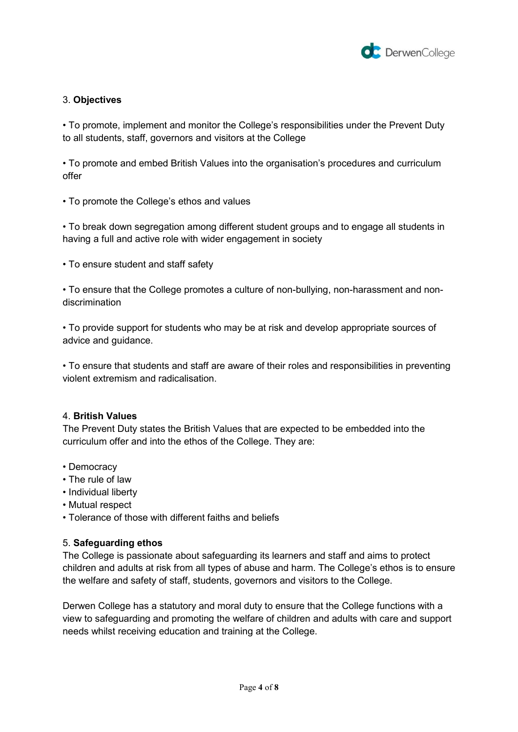

# 3. **Objectives**

• To promote, implement and monitor the College's responsibilities under the Prevent Duty to all students, staff, governors and visitors at the College

• To promote and embed British Values into the organisation's procedures and curriculum offer

• To promote the College's ethos and values

• To break down segregation among different student groups and to engage all students in having a full and active role with wider engagement in society

• To ensure student and staff safety

• To ensure that the College promotes a culture of non-bullying, non-harassment and nondiscrimination

• To provide support for students who may be at risk and develop appropriate sources of advice and guidance.

• To ensure that students and staff are aware of their roles and responsibilities in preventing violent extremism and radicalisation.

## 4. **British Values**

The Prevent Duty states the British Values that are expected to be embedded into the curriculum offer and into the ethos of the College. They are:

- Democracy
- The rule of law
- Individual liberty
- Mutual respect
- Tolerance of those with different faiths and beliefs

## 5. **Safeguarding ethos**

The College is passionate about safeguarding its learners and staff and aims to protect children and adults at risk from all types of abuse and harm. The College's ethos is to ensure the welfare and safety of staff, students, governors and visitors to the College.

Derwen College has a statutory and moral duty to ensure that the College functions with a view to safeguarding and promoting the welfare of children and adults with care and support needs whilst receiving education and training at the College.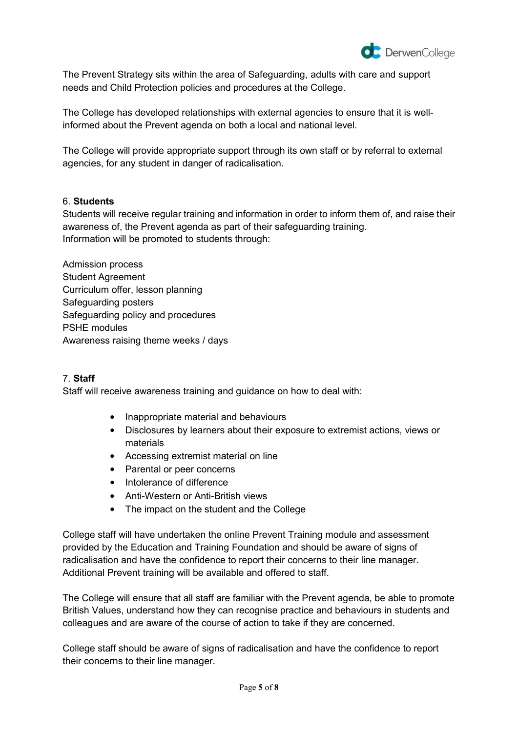

The Prevent Strategy sits within the area of Safeguarding, adults with care and support needs and Child Protection policies and procedures at the College.

The College has developed relationships with external agencies to ensure that it is wellinformed about the Prevent agenda on both a local and national level.

The College will provide appropriate support through its own staff or by referral to external agencies, for any student in danger of radicalisation.

## 6. **Students**

Students will receive regular training and information in order to inform them of, and raise their awareness of, the Prevent agenda as part of their safeguarding training. Information will be promoted to students through:

Admission process Student Agreement Curriculum offer, lesson planning Safeguarding posters Safeguarding policy and procedures PSHE modules Awareness raising theme weeks / days

#### 7. **Staff**

Staff will receive awareness training and guidance on how to deal with:

- Inappropriate material and behaviours
- Disclosures by learners about their exposure to extremist actions, views or materials
- Accessing extremist material on line
- Parental or peer concerns
- Intolerance of difference
- Anti-Western or Anti-British views
- The impact on the student and the College

College staff will have undertaken the online Prevent Training module and assessment provided by the Education and Training Foundation and should be aware of signs of radicalisation and have the confidence to report their concerns to their line manager. Additional Prevent training will be available and offered to staff.

The College will ensure that all staff are familiar with the Prevent agenda, be able to promote British Values, understand how they can recognise practice and behaviours in students and colleagues and are aware of the course of action to take if they are concerned.

College staff should be aware of signs of radicalisation and have the confidence to report their concerns to their line manager.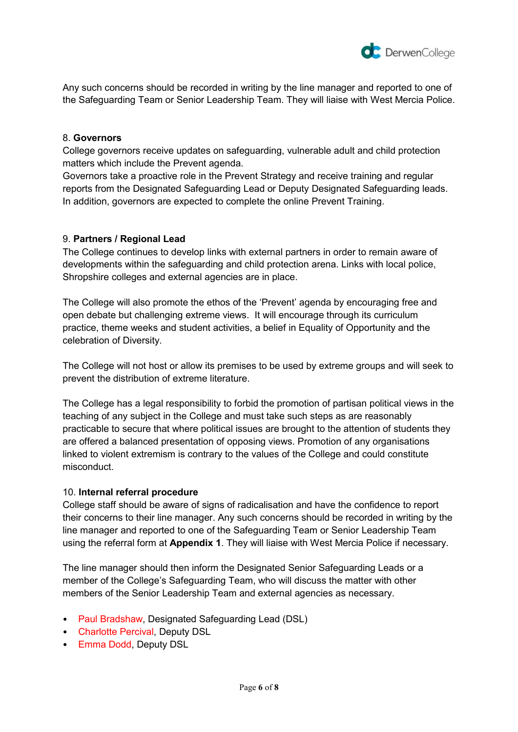

Any such concerns should be recorded in writing by the line manager and reported to one of the Safeguarding Team or Senior Leadership Team. They will liaise with West Mercia Police.

#### 8. **Governors**

College governors receive updates on safeguarding, vulnerable adult and child protection matters which include the Prevent agenda.

Governors take a proactive role in the Prevent Strategy and receive training and regular reports from the Designated Safeguarding Lead or Deputy Designated Safeguarding leads. In addition, governors are expected to complete the online Prevent Training.

#### 9. **Partners / Regional Lead**

The College continues to develop links with external partners in order to remain aware of developments within the safeguarding and child protection arena. Links with local police, Shropshire colleges and external agencies are in place.

The College will also promote the ethos of the 'Prevent' agenda by encouraging free and open debate but challenging extreme views. It will encourage through its curriculum practice, theme weeks and student activities, a belief in Equality of Opportunity and the celebration of Diversity.

The College will not host or allow its premises to be used by extreme groups and will seek to prevent the distribution of extreme literature.

The College has a legal responsibility to forbid the promotion of partisan political views in the teaching of any subject in the College and must take such steps as are reasonably practicable to secure that where political issues are brought to the attention of students they are offered a balanced presentation of opposing views. Promotion of any organisations linked to violent extremism is contrary to the values of the College and could constitute misconduct.

## 10. **Internal referral procedure**

College staff should be aware of signs of radicalisation and have the confidence to report their concerns to their line manager. Any such concerns should be recorded in writing by the line manager and reported to one of the Safeguarding Team or Senior Leadership Team using the referral form at **Appendix 1**. They will liaise with West Mercia Police if necessary.

The line manager should then inform the Designated Senior Safeguarding Leads or a member of the College's Safeguarding Team, who will discuss the matter with other members of the Senior Leadership Team and external agencies as necessary.

- Paul Bradshaw, Designated Safeguarding Lead (DSL)
- Charlotte Percival, Deputy DSL
- Emma Dodd, Deputy DSL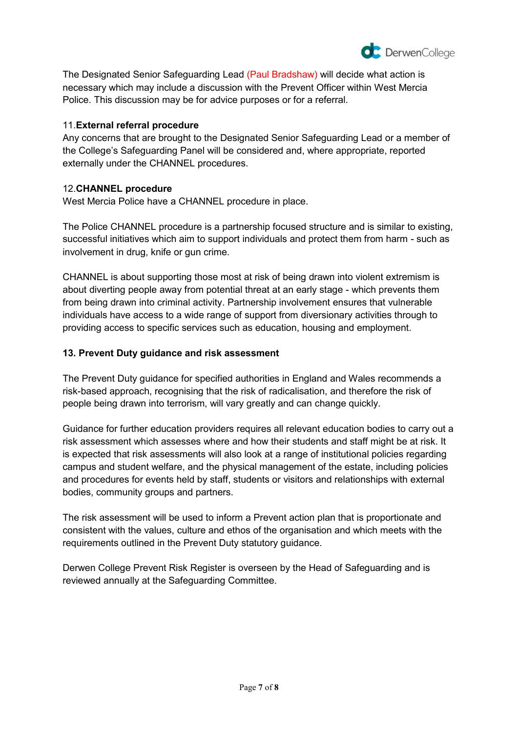

The Designated Senior Safeguarding Lead (Paul Bradshaw) will decide what action is necessary which may include a discussion with the Prevent Officer within West Mercia Police. This discussion may be for advice purposes or for a referral.

# 11.**External referral procedure**

Any concerns that are brought to the Designated Senior Safeguarding Lead or a member of the College's Safeguarding Panel will be considered and, where appropriate, reported externally under the CHANNEL procedures.

# 12.**CHANNEL procedure**

West Mercia Police have a CHANNEL procedure in place.

The Police CHANNEL procedure is a partnership focused structure and is similar to existing, successful initiatives which aim to support individuals and protect them from harm - such as involvement in drug, knife or gun crime.

CHANNEL is about supporting those most at risk of being drawn into violent extremism is about diverting people away from potential threat at an early stage - which prevents them from being drawn into criminal activity. Partnership involvement ensures that vulnerable individuals have access to a wide range of support from diversionary activities through to providing access to specific services such as education, housing and employment.

# **13. Prevent Duty guidance and risk assessment**

The Prevent Duty guidance for specified authorities in England and Wales recommends a risk-based approach, recognising that the risk of radicalisation, and therefore the risk of people being drawn into terrorism, will vary greatly and can change quickly.

Guidance for further education providers requires all relevant education bodies to carry out a risk assessment which assesses where and how their students and staff might be at risk. It is expected that risk assessments will also look at a range of institutional policies regarding campus and student welfare, and the physical management of the estate, including policies and procedures for events held by staff, students or visitors and relationships with external bodies, community groups and partners.

The risk assessment will be used to inform a Prevent action plan that is proportionate and consistent with the values, culture and ethos of the organisation and which meets with the requirements outlined in the Prevent Duty statutory guidance.

Derwen College Prevent Risk Register is overseen by the Head of Safeguarding and is reviewed annually at the Safeguarding Committee.